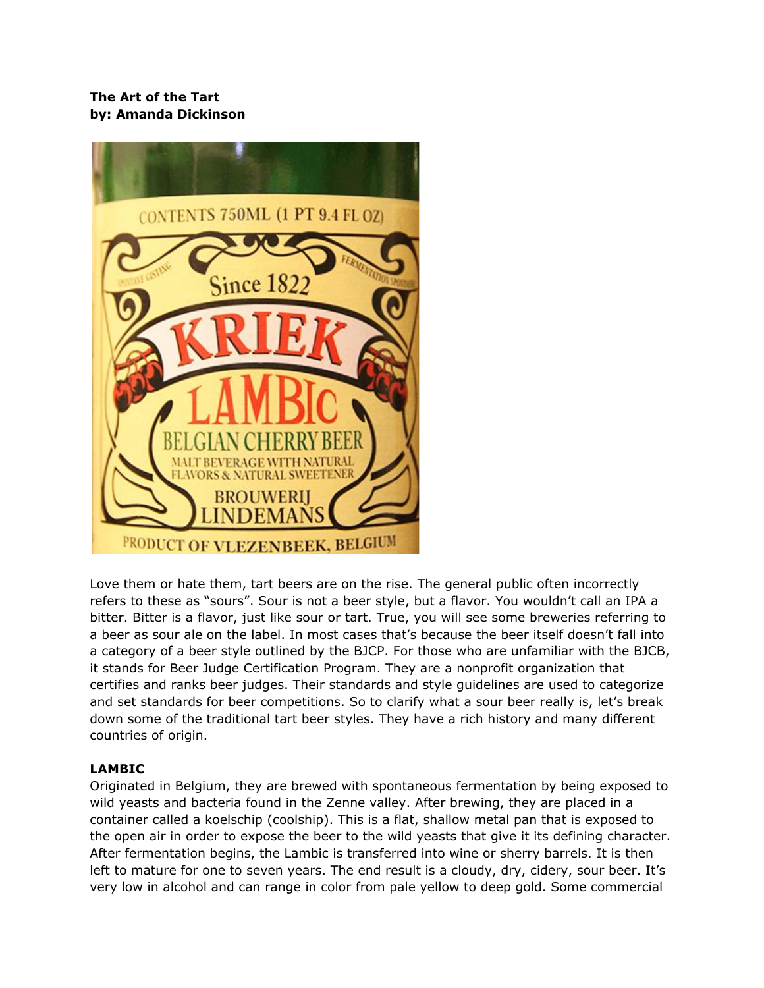## **The Art of the Tart by: Amanda Dickinson**



Love them or hate them, tart beers are on the rise. The general public often incorrectly refers to these as "sours". Sour is not a beer style, but a flavor. You wouldn't call an IPA a bitter. Bitter is a flavor, just like sour or tart. True, you will see some breweries referring to a beer as sour ale on the label. In most cases that's because the beer itself doesn't fall into a category of a beer style outlined by the BJCP. For those who are unfamiliar with the BJCB, it stands for Beer Judge Certification Program. They are a nonprofit organization that certifies and ranks beer judges. Their standards and style guidelines are used to categorize and set standards for beer competitions. So to clarify what a sour beer really is, let's break down some of the traditional tart beer styles. They have a rich history and many different countries of origin.

## **LAMBIC**

Originated in Belgium, they are brewed with spontaneous fermentation by being exposed to wild yeasts and bacteria found in the Zenne valley. After brewing, they are placed in a container called a koelschip (coolship). This is a flat, shallow metal pan that is exposed to the open air in order to expose the beer to the wild yeasts that give it its defining character. After fermentation begins, the Lambic is transferred into wine or sherry barrels. It is then left to mature for one to seven years. The end result is a cloudy, dry, cidery, sour beer. It's very low in alcohol and can range in color from pale yellow to deep gold. Some commercial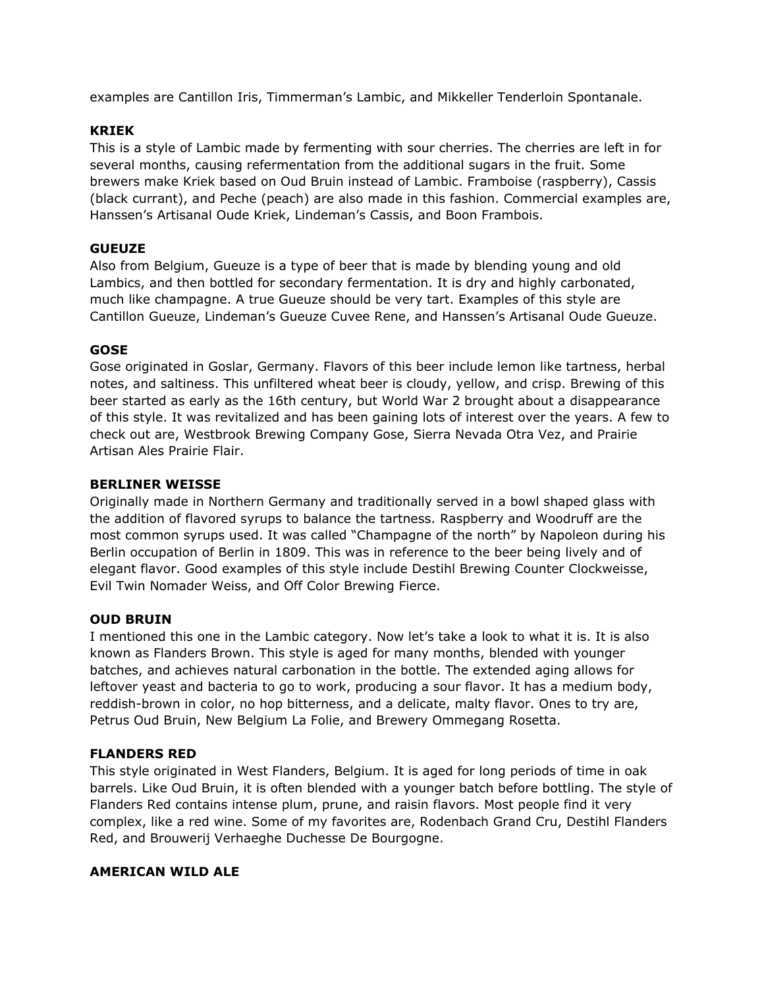examples are Cantillon Iris, Timmerman's Lambic, and Mikkeller Tenderloin Spontanale.

## **KRIEK**

This is a style of Lambic made by fermenting with sour cherries. The cherries are left in for several months, causing refermentation from the additional sugars in the fruit. Some brewers make Kriek based on Oud Bruin instead of Lambic. Framboise (raspberry), Cassis (black currant), and Peche (peach) are also made in this fashion. Commercial examples are, Hanssen's Artisanal Oude Kriek, Lindeman's Cassis, and Boon Frambois.

### **GUEUZE**

Also from Belgium, Gueuze is a type of beer that is made by blending young and old Lambics, and then bottled for secondary fermentation. It is dry and highly carbonated, much like champagne. A true Gueuze should be very tart. Examples of this style are Cantillon Gueuze, Lindeman's Gueuze Cuvee Rene, and Hanssen's Artisanal Oude Gueuze.

### **GOSE**

Gose originated in Goslar, Germany. Flavors of this beer include lemon like tartness, herbal notes, and saltiness. This unfiltered wheat beer is cloudy, yellow, and crisp. Brewing of this beer started as early as the 16th century, but World War 2 brought about a disappearance of this style. It was revitalized and has been gaining lots of interest over the years. A few to check out are, Westbrook Brewing Company Gose, Sierra Nevada Otra Vez, and Prairie Artisan Ales Prairie Flair.

### **BERLINER WEISSE**

Originally made in Northern Germany and traditionally served in a bowl shaped glass with the addition of flavored syrups to balance the tartness. Raspberry and Woodruff are the most common syrups used. It was called "Champagne of the north" by Napoleon during his Berlin occupation of Berlin in 1809. This was in reference to the beer being lively and of elegant flavor. Good examples of this style include Destihl Brewing Counter Clockweisse, Evil Twin Nomader Weiss, and Off Color Brewing Fierce.

#### **OUD BRUIN**

I mentioned this one in the Lambic category. Now let's take a look to what it is. It is also known as Flanders Brown. This style is aged for many months, blended with younger batches, and achieves natural carbonation in the bottle. The extended aging allows for leftover yeast and bacteria to go to work, producing a sour flavor. It has a medium body, reddish-brown in color, no hop bitterness, and a delicate, malty flavor. Ones to try are, Petrus Oud Bruin, New Belgium La Folie, and Brewery Ommegang Rosetta.

#### **FLANDERS RED**

This style originated in West Flanders, Belgium. It is aged for long periods of time in oak barrels. Like Oud Bruin, it is often blended with a younger batch before bottling. The style of Flanders Red contains intense plum, prune, and raisin flavors. Most people find it very complex, like a red wine. Some of my favorites are, Rodenbach Grand Cru, Destihl Flanders Red, and Brouwerij Verhaeghe Duchesse De Bourgogne.

#### **AMERICAN WILD ALE**